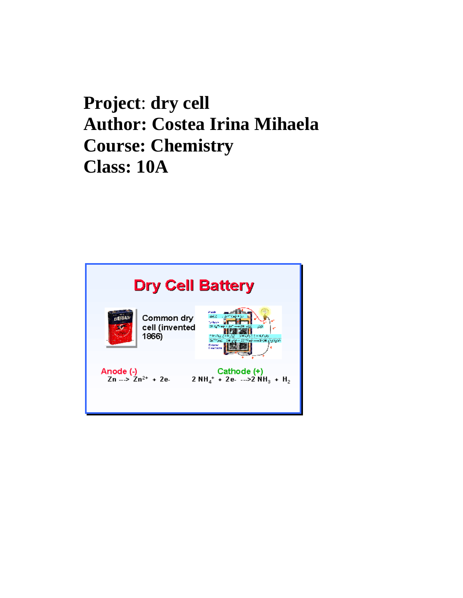## **Project**: **dry cell Author: Costea Irina Mihaela Course: Chemistry Class: 10A**

| <b>Dry Cell Battery</b>                                               |                                                                                      |
|-----------------------------------------------------------------------|--------------------------------------------------------------------------------------|
| Common dry<br>cell (invented<br>1866)                                 | 462<br>on Ghie<br>58<br>计一步行动<br>$2217$ kg $-42$ (H $<$ kHz)<br>Delawar<br>1 настита |
| Anode (-)<br>$\mathsf{Zn} \rightarrow \mathsf{Zn}^{2+} + \mathsf{Ze}$ | Cathode (+)<br>$2 NH4$ + 2e -->2 NH <sub>3</sub> + H <sub>2</sub>                    |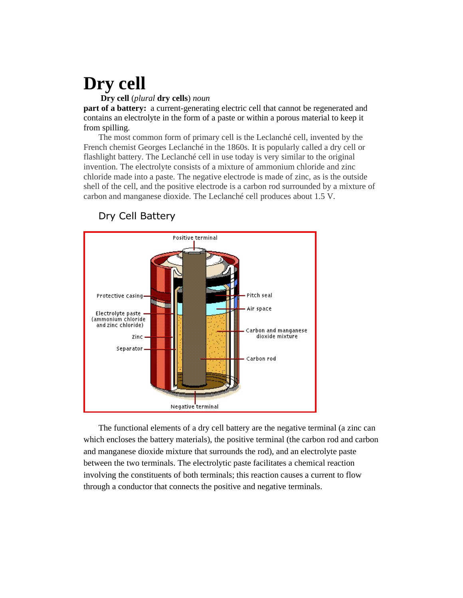# **Dry cell**

#### **Dry cell** (*plural* **dry cells**) *noun*

**part of a battery:** a current-generating electric cell that cannot be regenerated and contains an electrolyte in the form of a paste or within a porous material to keep it from spilling.

 The most common form of primary cell is the Leclanché cell, invented by the French chemist Georges Leclanché in the 1860s. It is popularly called a dry cell or flashlight battery. The Leclanché cell in use today is very similar to the original invention. The electrolyte consists of a mixture of ammonium chloride and zinc chloride made into a paste. The negative electrode is made of zinc, as is the outside shell of the cell, and the positive electrode is a carbon rod surrounded by a mixture of carbon and manganese dioxide. The Leclanché cell produces about 1.5 V.



### Dry Cell Battery

 The functional elements of a dry cell battery are the negative terminal (a zinc can which encloses the battery materials), the positive terminal (the carbon rod and carbon and manganese dioxide mixture that surrounds the rod), and an electrolyte paste between the two terminals. The electrolytic paste facilitates a chemical reaction involving the constituents of both terminals; this reaction causes a current to flow through a conductor that connects the positive and negative terminals.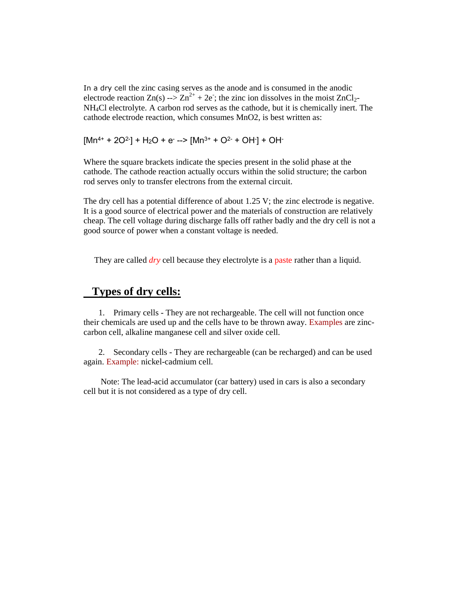In a dry cell the zinc casing serves as the anode and is consumed in the anodic electrode reaction  $Zn(s) \rightarrow Zn^{2+} + 2e$ ; the zinc ion dissolves in the moist  $ZnCl_2$ -NH4Cl electrolyte. A carbon rod serves as the cathode, but it is chemically inert. The cathode electrode reaction, which consumes MnO2, is best written as:

 $[Mn^{4+} + 2O^2] + H_2O + e^-$  -->  $[Mn^{3+} + O^2 + OH] + OH^-$ 

Where the square brackets indicate the species present in the solid phase at the cathode. The cathode reaction actually occurs within the solid structure; the carbon rod serves only to transfer electrons from the external circuit.

The dry cell has a potential difference of about 1.25 V; the zinc electrode is negative. It is a good source of electrical power and the materials of construction are relatively cheap. The cell voltage during discharge falls off rather badly and the dry cell is not a good source of power when a constant voltage is needed.

They are called *dry* cell because they electrolyte is a paste rather than a liquid.

### **Types of dry cells:**

 1. Primary cells - They are not rechargeable. The cell will not function once their chemicals are used up and the cells have to be thrown away. Examples are zinccarbon cell, alkaline manganese cell and silver oxide cell.

 2. Secondary cells - They are rechargeable (can be recharged) and can be used again. Example: nickel-cadmium cell.

 Note: The lead-acid accumulator (car battery) used in cars is also a secondary cell but it is not considered as a type of dry cell.